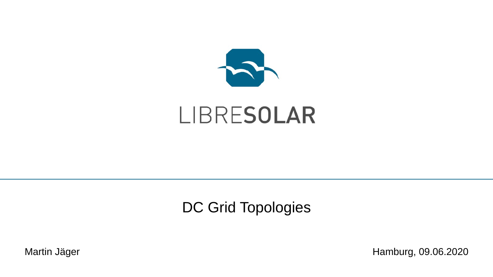

# LIBRESOLAR

#### DC Grid Topologies

Martin Jäger **Martin Jäger** Hamburg, 09.06.2020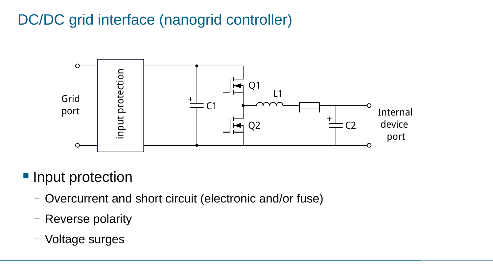### DC/DC grid interface (nanogrid controller)



■ Input protection

- Overcurrent and short circuit (electronic and/or fuse)
- Reverse polarity
- Voltage surges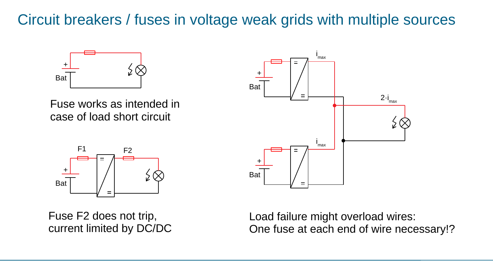#### Circuit breakers / fuses in voltage weak grids with multiple sources



Fuse works as intended in case of load short circuit



Fuse F2 does not trip, current limited by DC/DC



Load failure might overload wires: One fuse at each end of wire necessary!?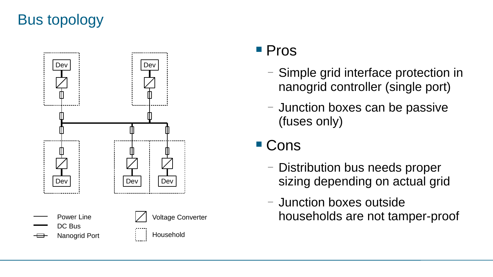## Bus topology



#### ■ Pros

- Simple grid interface protection in nanogrid controller (single port)
- Junction boxes can be passive (fuses only)

## ■ Cons

- Distribution bus needs proper sizing depending on actual grid
- Junction boxes outside households are not tamper-proof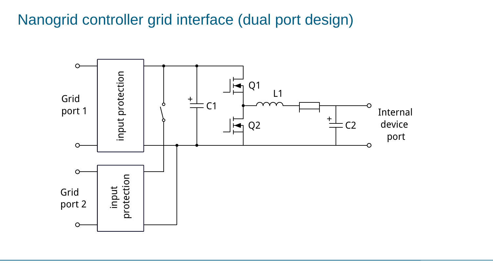#### Nanogrid controller grid interface (dual port design)

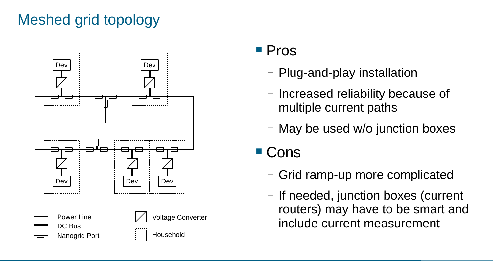## Meshed grid topology



#### ■ Pros

- Plug-and-play installation
- Increased reliability because of multiple current paths
- May be used w/o junction boxes
- Cons
	- Grid ramp-up more complicated
	- If needed, junction boxes (current routers) may have to be smart and include current measurement